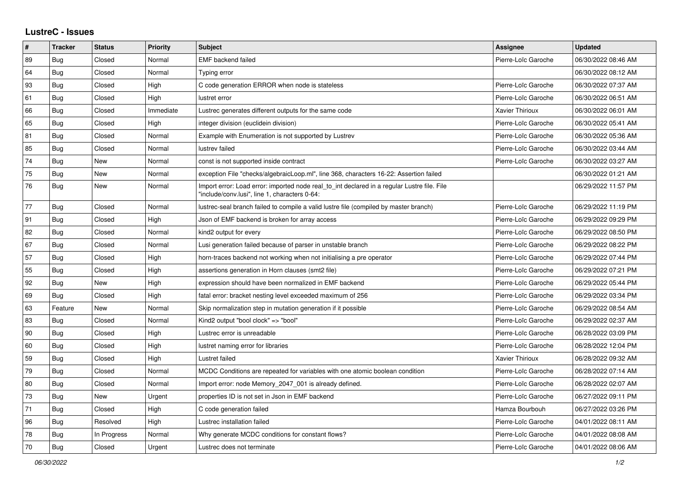## **LustreC - Issues**

| #  | <b>Tracker</b> | <b>Status</b> | <b>Priority</b> | <b>Subject</b>                                                                                                                               | Assignee               | <b>Updated</b>      |
|----|----------------|---------------|-----------------|----------------------------------------------------------------------------------------------------------------------------------------------|------------------------|---------------------|
| 89 | Bug            | Closed        | Normal          | <b>EMF</b> backend failed                                                                                                                    | Pierre-Loïc Garoche    | 06/30/2022 08:46 AM |
| 64 | Bug            | Closed        | Normal          | Typing error                                                                                                                                 |                        | 06/30/2022 08:12 AM |
| 93 | Bug            | Closed        | High            | C code generation ERROR when node is stateless                                                                                               | Pierre-Loïc Garoche    | 06/30/2022 07:37 AM |
| 61 | Bug            | Closed        | High            | lustret error                                                                                                                                | Pierre-Loïc Garoche    | 06/30/2022 06:51 AM |
| 66 | Bug            | Closed        | Immediate       | Lustrec generates different outputs for the same code                                                                                        | <b>Xavier Thirioux</b> | 06/30/2022 06:01 AM |
| 65 | Bug            | Closed        | High            | integer division (euclidein division)                                                                                                        | Pierre-Loïc Garoche    | 06/30/2022 05:41 AM |
| 81 | Bug            | Closed        | Normal          | Example with Enumeration is not supported by Lustrev                                                                                         | Pierre-Loïc Garoche    | 06/30/2022 05:36 AM |
| 85 | Bug            | Closed        | Normal          | lustrev failed                                                                                                                               | Pierre-Loïc Garoche    | 06/30/2022 03:44 AM |
| 74 | Bug            | New           | Normal          | const is not supported inside contract                                                                                                       | Pierre-Loïc Garoche    | 06/30/2022 03:27 AM |
| 75 | Bug            | New           | Normal          | exception File "checks/algebraicLoop.ml", line 368, characters 16-22: Assertion failed                                                       |                        | 06/30/2022 01:21 AM |
| 76 | Bug            | New           | Normal          | Import error: Load error: imported node real to int declared in a regular Lustre file. File<br>"include/conv.lusi", line 1, characters 0-64: |                        | 06/29/2022 11:57 PM |
| 77 | Bug            | Closed        | Normal          | lustrec-seal branch failed to compile a valid lustre file (compiled by master branch)                                                        | Pierre-Loïc Garoche    | 06/29/2022 11:19 PM |
| 91 | Bug            | Closed        | High            | Json of EMF backend is broken for array access                                                                                               | Pierre-Loïc Garoche    | 06/29/2022 09:29 PM |
| 82 | <b>Bug</b>     | Closed        | Normal          | kind2 output for every                                                                                                                       | Pierre-Loïc Garoche    | 06/29/2022 08:50 PM |
| 67 | Bug            | Closed        | Normal          | Lusi generation failed because of parser in unstable branch                                                                                  | Pierre-Loïc Garoche    | 06/29/2022 08:22 PM |
| 57 | Bug            | Closed        | High            | horn-traces backend not working when not initialising a pre operator                                                                         | Pierre-Loïc Garoche    | 06/29/2022 07:44 PM |
| 55 | <b>Bug</b>     | Closed        | High            | assertions generation in Horn clauses (smt2 file)                                                                                            | Pierre-Loïc Garoche    | 06/29/2022 07:21 PM |
| 92 | Bug            | New           | High            | expression should have been normalized in EMF backend                                                                                        | Pierre-Loïc Garoche    | 06/29/2022 05:44 PM |
| 69 | <b>Bug</b>     | Closed        | High            | fatal error: bracket nesting level exceeded maximum of 256                                                                                   | Pierre-Loïc Garoche    | 06/29/2022 03:34 PM |
| 63 | Feature        | <b>New</b>    | Normal          | Skip normalization step in mutation generation if it possible                                                                                | Pierre-Loïc Garoche    | 06/29/2022 08:54 AM |
| 83 | Bug            | Closed        | Normal          | Kind2 output "bool clock" => "bool"                                                                                                          | Pierre-Loïc Garoche    | 06/29/2022 02:37 AM |
| 90 | Bug            | Closed        | High            | Lustrec error is unreadable                                                                                                                  | Pierre-Loïc Garoche    | 06/28/2022 03:09 PM |
| 60 | <b>Bug</b>     | Closed        | High            | lustret naming error for libraries                                                                                                           | Pierre-Loïc Garoche    | 06/28/2022 12:04 PM |
| 59 | <b>Bug</b>     | Closed        | High            | Lustret failed                                                                                                                               | <b>Xavier Thirioux</b> | 06/28/2022 09:32 AM |
| 79 | Bug            | Closed        | Normal          | MCDC Conditions are repeated for variables with one atomic boolean condition                                                                 | Pierre-Loïc Garoche    | 06/28/2022 07:14 AM |
| 80 | <b>Bug</b>     | Closed        | Normal          | Import error: node Memory 2047 001 is already defined.                                                                                       | Pierre-Loïc Garoche    | 06/28/2022 02:07 AM |
| 73 | Bug            | <b>New</b>    | Urgent          | properties ID is not set in Json in EMF backend                                                                                              | Pierre-Loïc Garoche    | 06/27/2022 09:11 PM |
| 71 | Bug            | Closed        | High            | C code generation failed                                                                                                                     | Hamza Bourbouh         | 06/27/2022 03:26 PM |
| 96 | <b>Bug</b>     | Resolved      | High            | Lustrec installation failed                                                                                                                  | Pierre-Loïc Garoche    | 04/01/2022 08:11 AM |
| 78 | Bug            | In Progress   | Normal          | Why generate MCDC conditions for constant flows?                                                                                             | Pierre-Loïc Garoche    | 04/01/2022 08:08 AM |
| 70 | Bug            | Closed        | Urgent          | Lustrec does not terminate                                                                                                                   | Pierre-Loïc Garoche    | 04/01/2022 08:06 AM |